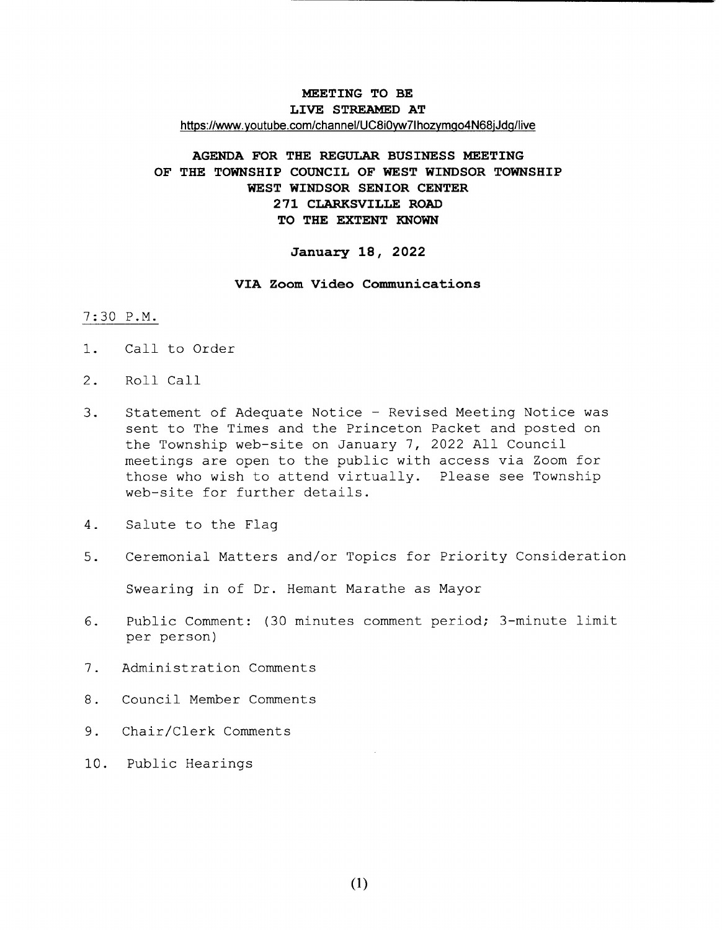## MEETING TO BE LIVE STREAMED AT https://www.youtube.com/channel/UC8i0yw7lhozymgo4N68jJdg/live

## AGENDA FOR THE REGULAR BUSINESS MEETING OF THE TOWNSHIP COUNCIL OF WEST WINDSOR TOWNSHIP WEST WINDSOR SENIOR CENTER 271 CLARKSVILLE ROAD TO THE EXTENT KNOWN

#### January 18, 2022

#### VIA Zoom Video Communications

### 7 : 30 P. M.

- 1. Call to Order
- 2. Roll Call
- 3. Statement of Adequate Notice Revised Meeting Notice was sent to The Times and the Princeton Packet and posted on the Township web-site on January 7, 2022 All Council meetings are open to the public with access via Zoom for those who wish to attend virtually. Please see Township web-site for further details.
- 4. Salute to the Flag
- 5. Ceremonial Matters and/or Topics for Priority Consideration

Swearing in of Dr. Hemant Marathe as Mayor

- 6. Public Comment: (30 minutes comment period; 3-minute limit per person)
- 7 . Administration Comments
- 8 . Council Member Comments
- 9. Chair/Clerk Comments
- 10. Public Hearings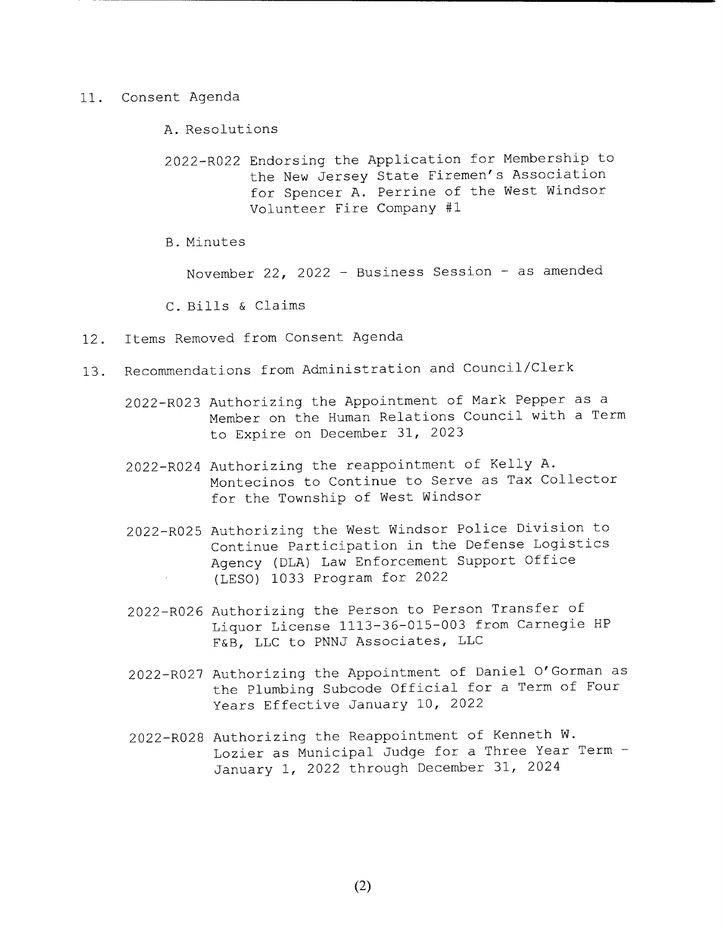11. Consent Agenda

A. Resolutions

2022- R022 Endorsing the Application for Membership to the New Jersey State Firemen's Association for Spencer A. Perrine of the West Windsor Volunteer Fire Company #1

B. Minutes

November 22, 2022 - Business Session - as amended

C. Bills & Claims

- 12. Items Removed from Consent Agenda
- 13. Recommendations from Administration and Council/Clerk
	- 2022- R023 Authorizing the Appointment of Mark Pepper as <sup>a</sup> Member on the Human Relations Council with <sup>a</sup> Term to Expire on December 31, 2023
	- 2022- R024 Authorizing the reappointment of Kelly A. Montecinos to Continue to Serve as Tax Collector for the Township of West Windsor
	- 2022- R025 Authorizing the West Windsor Police Division to Continue Participation in the Defense Logistics Agency ( DLA) Law Enforcement Support Office LESO) 1033 Program for 2022
	- 2022- R026 Authorizing the Person to Person Transfer of Liquor License 1113- 36- 015- 003 from Carnegie HP F&B, LLC to PNNJ Associates, LLC
	- 2022- R027 Authorizing the Appointment of Daniel <sup>O</sup>' Gorman as the Plumbing Subcode Official for <sup>a</sup> Term of Four Years Effective January 10, <sup>2022</sup>
	- 2022- R028 Authorizing the Reappointment of Kenneth W. Lozier as Municipal Judge for <sup>a</sup> Three Year Term - January 1, 2022 through December 31, 2024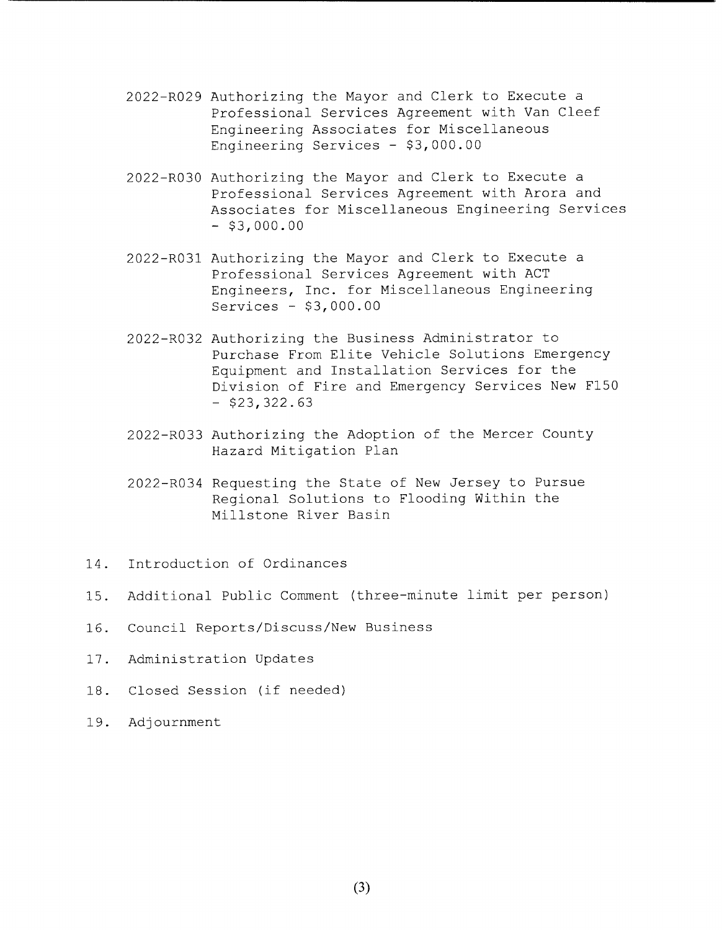- 2022- R029 Authorizing the Mayor and Clerk to Execute <sup>a</sup> Professional Services Agreement with Van Cleef Engineering Associates for Miscellaneous Engineering Services - \$3,000.00
- 2022- R030 Authorizing the Mayor and Clerk to Execute <sup>a</sup> Professional Services Agreement with Arora and Associates for Miscellaneous Engineering Services  $-$  \$3,000.00
- 2022- R031 Authorizing the Mayor and Clerk to Execute <sup>a</sup> Professional Services Agreement with ACT Engineers, Inc. for Miscellaneous Engineering Services  $-$  \$3,000.00
- 2022- R032 Authorizing the Business Administrator to Purchase From Elite Vehicle Solutions Emergency Equipment and Installation Services for the Division of Fire and Emergency Services New F150  $-$  \$23, 322.63
- 2022- R033 Authorizing the Adoption of the Mercer County Hazard Mitigation Plan
- 2022- R034 Requesting the State of New Jersey to Pursue Regional Solutions to Flooding Within the Millstone River Basin
- 14. Introduction of Ordinances
- 15 . Additional Public Comment ( three- minute limit per person)
- 16. Council Reports/Discuss/New Business
- 17. Administration Updates
- 18. Closed Session (if needed)
- 19. Adjournment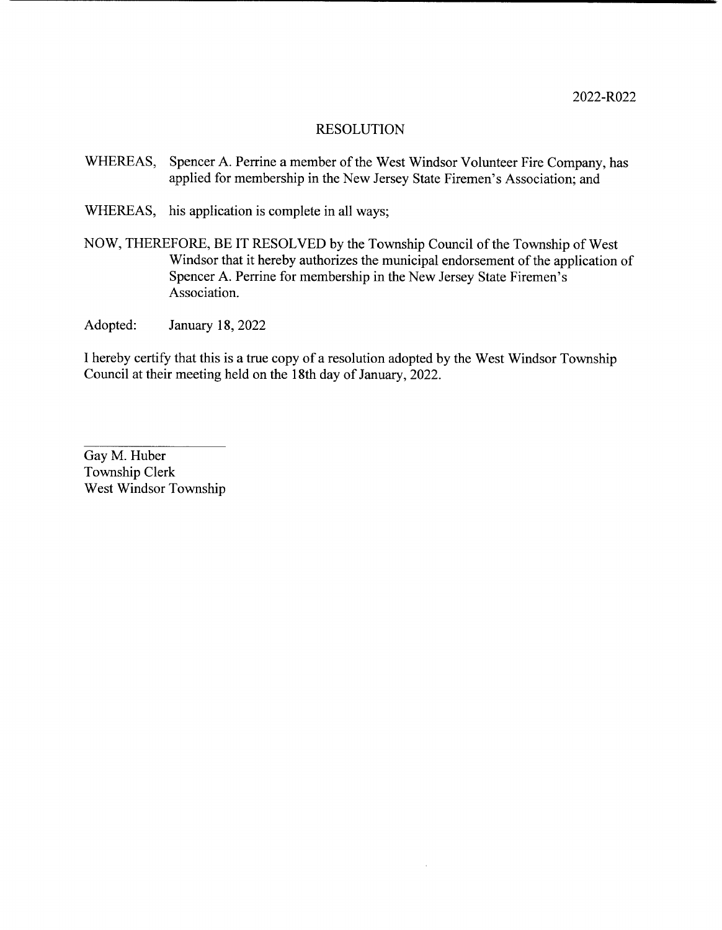- WHEREAS, Spencer A. Perrine <sup>a</sup> member of the West Windsor Volunteer Fire Company, has applied for membership in the New Jersey State Firemen's Association; and
- WHEREAS, his application is complete in all ways;
- NOW, THEREFORE, BE IT RESOLVED by the Township Council of the Township of West Windsor that it hereby authorizes the municipal endorsement of the application of Spencer A. Perrine for membership in the New Jersey State Firemen's Association.
- Adopted: January 18, 2022

I hereby certify that this is a true copy of <sup>a</sup> resolution adopted by the West Windsor Township Council at their meeting held on the 18th day of January, 2022.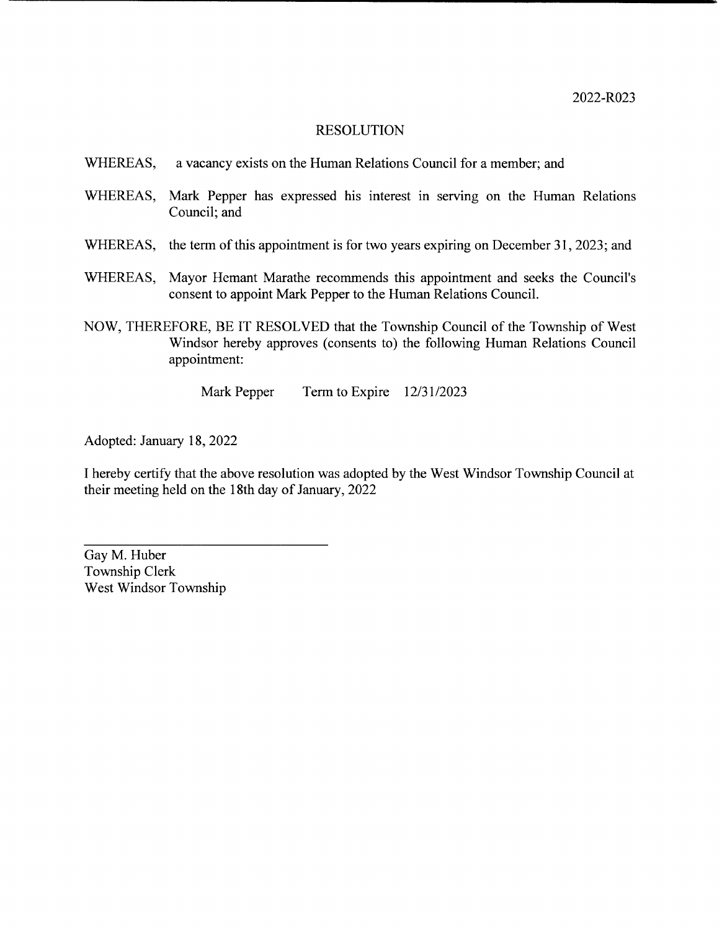- WHEREAS, a vacancy exists on the Human Relations Council for a member; and
- WHEREAS, Mark Pepper has expressed his interest in serving on the Human Relations Council; and
- WHEREAS, the term of this appointment is for two years expiring on December 31, 2023; and
- WHEREAS, Mayor Hemant Marathe recommends this appointment and seeks the Council's consent to appoint Mark Pepper to the Human Relations Council.
- NOW, THEREFORE, BE IT RESOLVED that the Township Council of the Township of West Windsor hereby approves (consents to) the following Human Relations Council appointment:

Mark Pepper Term to Expire 12/31/2023

Adopted: January 18, 2022

<sup>1</sup> hereby certify that the above resolution was adopted by the West Windsor Township Council at their meeting held on the 18th day of January, 2022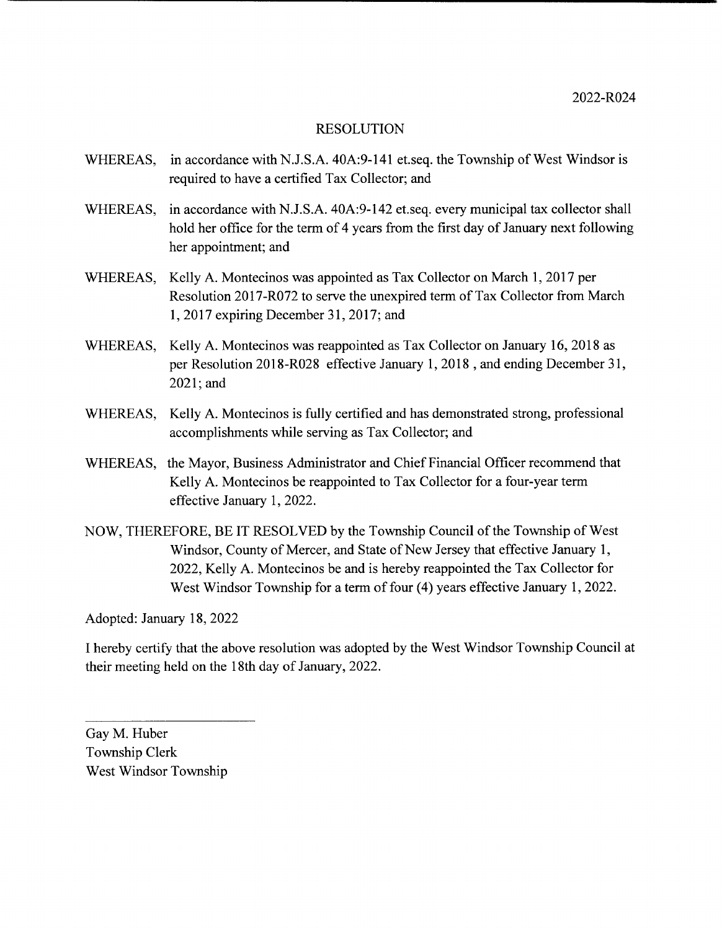- WHEREAS, in accordance with N.J.S.A. 40A: 9-141 et.seq. the Township of West Windsor is required to have a certified Tax Collector; and
- WHEREAS, in accordance with N.J.S.A. 40A: 9-142 et.seq. every municipal tax collector shall hold her office for the term of <sup>4</sup> years from the first day of January next following her appointment; and
- WHEREAS, Kelly A. Montecinos was appointed as Tax Collector on March 1, 2017 per Resolution 2017- R072 to serve the unexpired term of Tax Collector from March 1, 2017 expiring December 31, 2017; and
- WHEREAS, Kelly A. Montecinos was reappointed as Tax Collector on January 16, 2018 as per Resolution 2018-R028 effective January 1, 2018 , and ending December 31, 2021; and
- WHEREAS, Kelly A. Montecinos is fully certified and has demonstrated strong, professional accomplishments while serving as Tax Collector; and
- WHEREAS, the Mayor, Business Administrator and Chief Financial Officer recommend that Kelly A. Montecinos be reappointed to Tax Collector for a four-year term effective January 1, 2022.
- NOW, THEREFORE, BE IT RESOLVED by the Township Council of the Township of West Windsor, County of Mercer, and State of New Jersey that effective January 1, 2022, Kelly A. Montecinos be and is hereby reappointed the Tax Collector for West Windsor Township for a term of four (4) years effective January 1, 2022.

Adopted: January 18, 2022

I hereby certify that the above resolution was adopted by the West Windsor Township Council at their meeting held on the 18th day of January, 2022.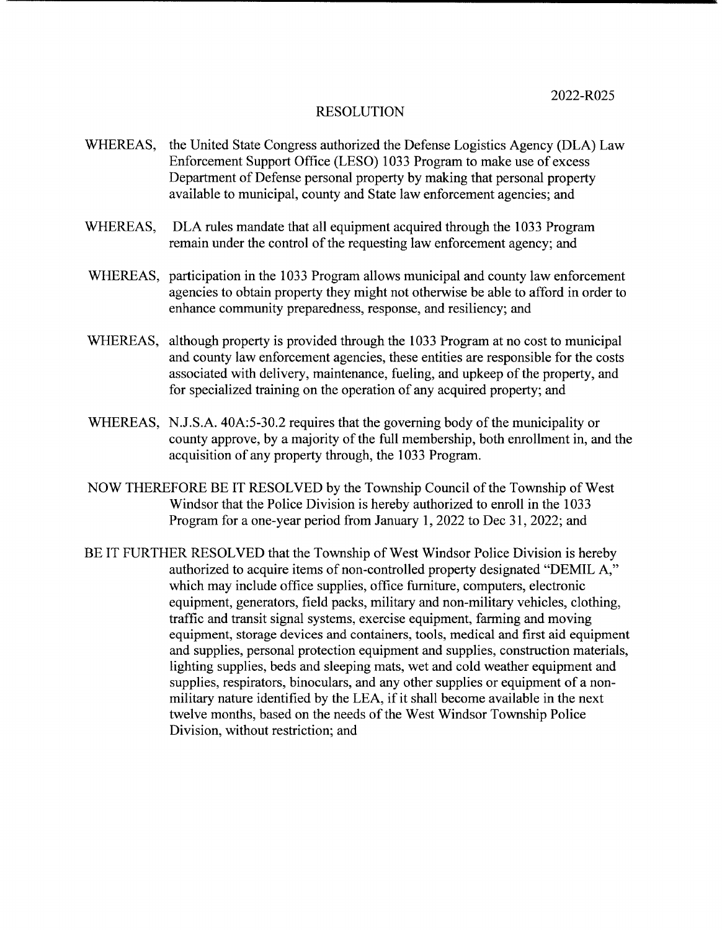- WHEREAS, the United State Congress authorized the Defense Logistics Agency (DLA) Law Enforcement Support Office (LESO) 1033 Program to make use of excess Department of Defense personal property by making that personal property available to municipal, county and State law enforcement agencies; and
- WHEREAS, DLA rules mandate that all equipment acquired through the 1033 Program remain under the control of the requesting law enforcement agency; and
- WHEREAS, participation in the <sup>1033</sup> Program allows municipal and county law enforcement agencies to obtain property they might not otherwise be able to afford in order to enhance community preparedness, response, and resiliency; and
- WHEREAS, although property is provided through the <sup>1033</sup> Program at no cost to municipal and county law enforcement agencies, these entities are responsible for the costs associated with delivery, maintenance, fueling, and upkeep of the property, and for specialized training on the operation of any acquired property; and
- WHEREAS, N.J.S.A. 40A:5-30.2 requires that the governing body of the municipality or county approve, by a majority of the full membership, both enrollment in, and the acquisition of any property through, the 1033 Program.
- NOW THEREFORE BE IT RESOLVED by the Township Council of the Township of West Windsor that the Police Division is hereby authorized to enroll in the 1033 Program for a one-year period from January 1, 2022 to Dec 31, 2022; and
- BE IT FURTHER RESOLVED that the Township of West Windsor Police Division is hereby authorized to acquire items of non-controlled property designated "DEMIL A," which may include office supplies, office furniture, computers, electronic equipment, generators, field packs, military and non-military vehicles, clothing, traffic and transit signal systems, exercise equipment, farming and moving equipment, storage devices and containers, tools, medical and first aid equipment and supplies, personal protection equipment and supplies, construction materials, lighting supplies, beds and sleeping mats, wet and cold weather equipment and supplies, respirators, binoculars, and any other supplies or equipment of a nonmilitary nature identified by the LEA, if it shall become available in the next twelve months, based on the needs of the West Windsor Township Police Division, without restriction; and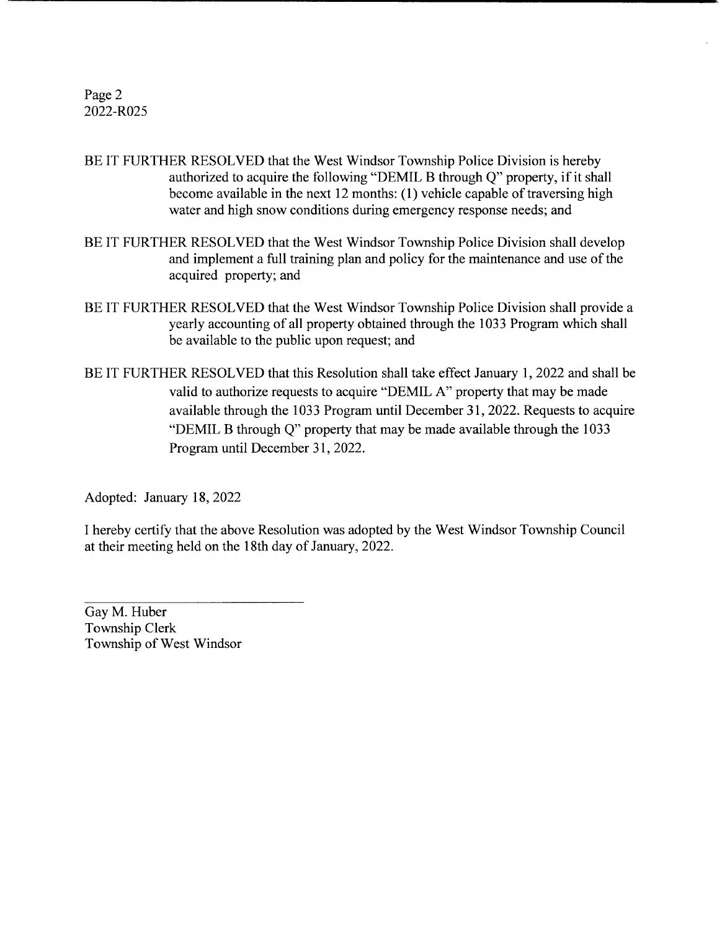Page 2 2022-R025

- BE IT FURTHER RESOLVED that the West Windsor Township Police Division is hereby authorized to acquire the following "DEMIL B through Q" property, if it shall become available in the next 12 months: (1) vehicle capable of traversing high water and high snow conditions during emergency response needs; and
- BE IT FURTHER RESOLVED that the West Windsor Township Police Division shall develop and implement a full training plan and policy for the maintenance and use of the acquired property; and
- BE IT FURTHER RESOLVED that the West Windsor Township Police Division shall provide a yearly accounting of all property obtained through the 1033 Program which shall be available to the public upon request; and
- BE IT FURTHER RESOLVED that this Resolution shall take effect January 1, 2022 and shall be valid to authorize requests to acquire "DEMIL A" property that may be made available through the 1033 Program until December 31, 2022. Requests to acquire DEMIL B through Q" property that may be made available through the 1033 Program until December 31, 2022.

Adopted: January 18, 2022

<sup>1</sup> hereby certify that the above Resolution was adopted by the West Windsor Township Council at their meeting held on the 18th day of January, 2022.

Gay M. Huber Township Clerk Township of West Windsor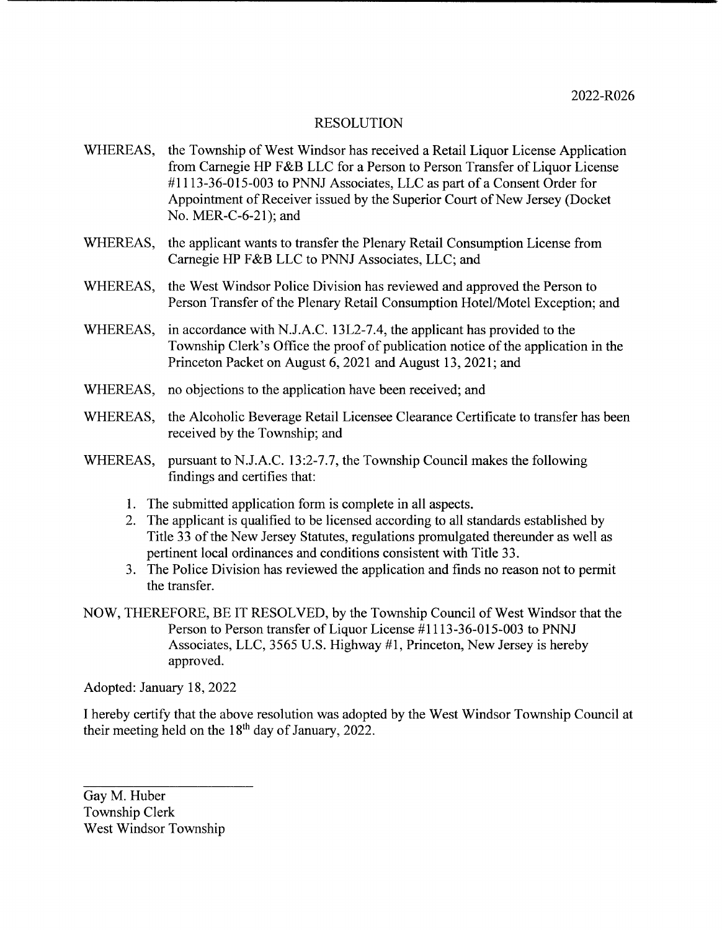- WHEREAS, the Township of West Windsor has received <sup>a</sup> Retail Liquor License Application from Carnegie HP F&B LLC for a Person to Person Transfer of Liquor License #1113-36-015-003 to PNNJ Associates, LLC as part of a Consent Order for Appointment of Receiver issued by the Superior Court of New Jersey ( Docket No. MER-C-6-21); and
- WHEREAS, the applicant wants to transfer the Plenary Retail Consumption License from Carnegie HP F&B LLC to PNNJ Associates, LLC; and
- WHEREAS, the West Windsor Police Division has reviewed and approved the Person to Person Transfer of the Plenary Retail Consumption Hotel/Motel Exception; and
- WHEREAS, in accordance with N.J.A.C. 13L2-7.4, the applicant has provided to the Township Clerk's Office the proof of publication notice of the application in the Princeton Packet on August 6, 2021 and August 13, 2021; and
- WHEREAS, no objections to the application have been received; and
- WHEREAS, the Alcoholic Beverage Retail Licensee Clearance Certificate to transfer has been received by the Township; and
- WHEREAS, pursuant to N.J.A.C. 13:2-7.7, the Township Council makes the following findings and certifies that:
	- 1. The submitted application form is complete in all aspects.
	- 2. The applicant is qualified to be licensed according to all standards established by Title 33 of the New Jersey Statutes, regulations promulgated thereunder as well as pertinent local ordinances and conditions consistent with Title 33.
	- 3. The Police Division has reviewed the application and finds no reason not to permit the transfer.
- NOW, THEREFORE, BE IT RESOLVED, by the Township Council of West Windsor that the Person to Person transfer of Liquor License #1113-36-015-003 to PNNJ Associates, LLC, 3565 U.S. Highway #1, Princeton, New Jersey is hereby approved.

Adopted: January 18, 2022

I hereby certify that the above resolution was adopted by the West Windsor Township Council at their meeting held on the  $18<sup>th</sup>$  day of January, 2022.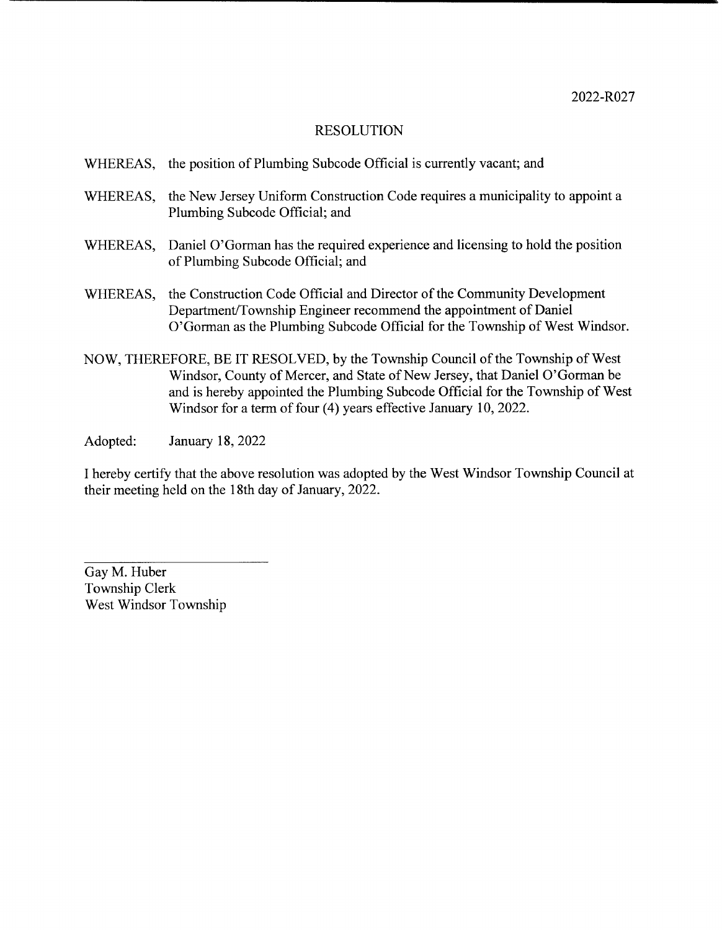- WHEREAS, the position of Plumbing Subcode Official is currently vacant; and
- WHEREAS, the New Jersey Uniform Construction Code requires <sup>a</sup> municipality to appoint <sup>a</sup> Plumbing Subcode Official; and
- WHEREAS, Daniel O'Gorman has the required experience and licensing to hold the position of Plumbing Subcode Official; and
- WHEREAS, the Construction Code Official and Director of the Community Development Department/Township Engineer recommend the appointment of Daniel O' Gorman as the Plumbing Subcode Official for the Township of West Windsor.
- NOW, THEREFORE, BE IT RESOLVED, by the Township Council of the Township of West Windsor, County of Mercer, and State of New Jersey, that Daniel O' Gorman be and is hereby appointed the Plumbing Subcode Official for the Township of West Windsor for a term of four (4) years effective January 10, 2022.
- Adopted: January 18, 2022

I hereby certify that the above resolution was adopted by the West Windsor Township Council at their meeting held on the 18th day of January, 2022.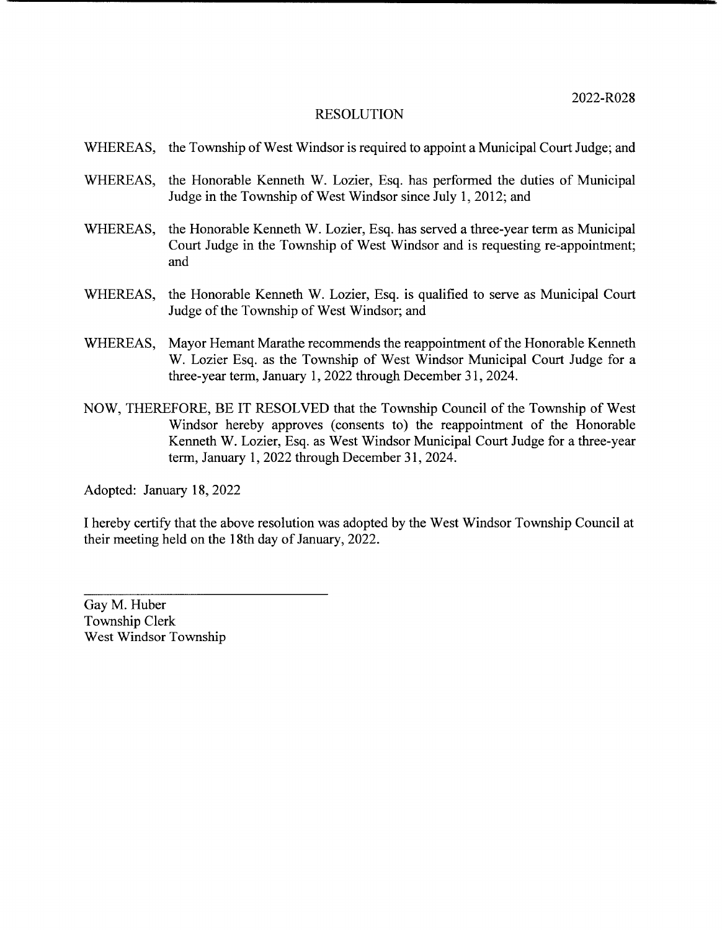- WHEREAS, the Township of West Windsor is required to appoint <sup>a</sup> Municipal Court Judge; and
- WHEREAS, the Honorable Kenneth W. Lozier, Esq. has performed the duties of Municipal Judge in the Township of West Windsor since July 1, 2012; and
- WHEREAS, the Honorable Kenneth W. Lozier, Esq. has served <sup>a</sup> three- year term as Municipal Court Judge in the Township of West Windsor and is requesting re-appointment; and
- WHEREAS, the Honorable Kenneth W. Lozier, Esq. is qualified to serve as Municipal Court Judge of the Township of West Windsor; and
- WHEREAS, Mayor Hemant Marathe recommends the reappointment of the Honorable Kenneth W. Lozier Esq. as the Township of West Windsor Municipal Court Judge for a three- year term, January 1, 2022 through December 31, 2024.
- NOW, THEREFORE, BE IT RESOLVED that the Township Council of the Township of West Windsor hereby approves (consents to) the reappointment of the Honorable Kenneth W. Lozier, Esq. as West Windsor Municipal Court Judge for a three- year term, January 1, 2022 through December 31, 2024.

Adopted: January 18, 2022

<sup>1</sup> hereby certify that the above resolution was adopted by the West Windsor Township Council at their meeting held on the 18th day of January, 2022.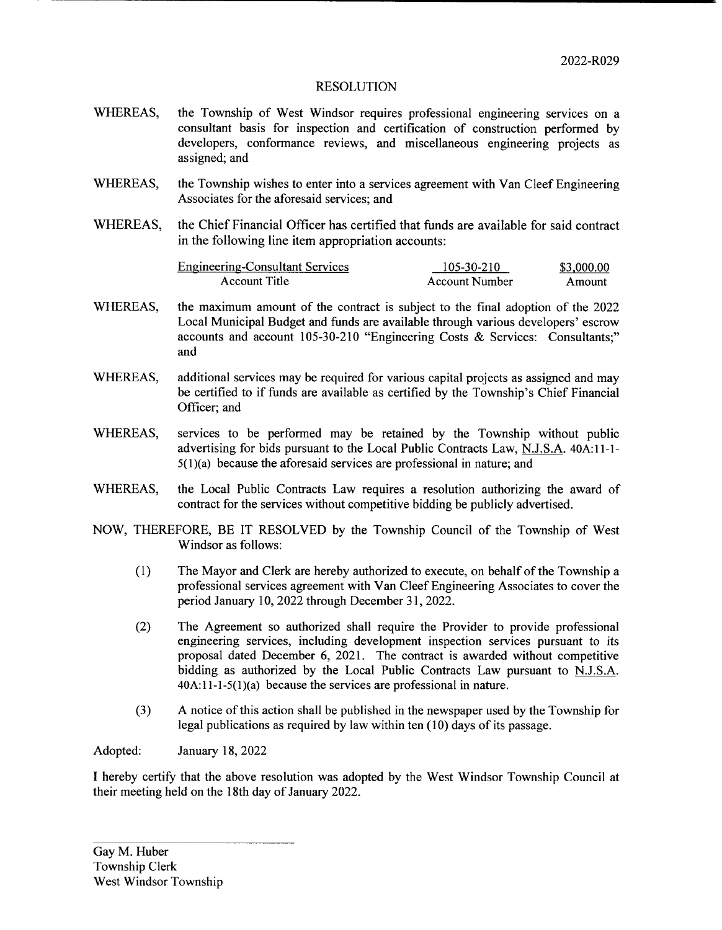- WHEREAS, the Township of West Windsor requires professional engineering services on <sup>a</sup> consultant basis for inspection and certification of construction performed by developers, conformance reviews, and miscellaneous engineering projects as assigned; and
- WHEREAS, the Township wishes to enter into a services agreement with Van Cleef Engineering Associates for the aforesaid services; and
- WHEREAS, the Chief Financial Officer has certified that funds are available for said contract in the following line item appropriation accounts:

| <b>Engineering-Consultant Services</b> | 105-30-210     | \$3,000.00 |
|----------------------------------------|----------------|------------|
| Account Title                          | Account Number | Amount     |

- WHEREAS, the maximum amount of the contract is subject to the final adoption of the 2022 Local Municipal Budget and funds are available through various developers' escrow accounts and account 105-30-210 "Engineering Costs & Services: Consultants;" and
- WHEREAS, additional services may be required for various capital projects as assigned and may be certified to if funds are available as certified by the Township's Chief Financial Officer; and
- WHEREAS, services to be performed may be retained by the Township without public advertising for bids pursuant to the Local Public Contracts Law, N.J.S.A. 40A:11-1- $5(1)(a)$  because the aforesaid services are professional in nature; and
- WHEREAS, the Local Public Contracts Law requires <sup>a</sup> resolution authorizing the award of contract for the services without competitive bidding be publicly advertised.
- NOW, THEREFORE, BE IT RESOLVED by the Township Council of the Township of West Windsor as follows:
	- 1) The Mayor and Clerk are hereby authorized to execute, on behalf ofthe Township <sup>a</sup> professional services agreement with Van Cleef Engineering Associates to cover the period January 10, 2022 through December 31, 2022.
	- 2) The Agreement so authorized shall require the Provider to provide professional engineering services, including development inspection services pursuant to its proposal dated December 6, 2021. The contract is awarded without competitive bidding as authorized by the Local Public Contracts Law pursuant to N.J.S.A.  $40A:11-1-5(1)(a)$  because the services are professional in nature.
	- 3) A notice ofthis action shall be published in the newspaper used by the Township for legal publications as required by law within ten $(10)$  days of its passage.

Adopted: January 18, 2022

I hereby certify that the above resolution was adopted by the West Windsor Township Council at their meeting held on the 18th day of January 2022.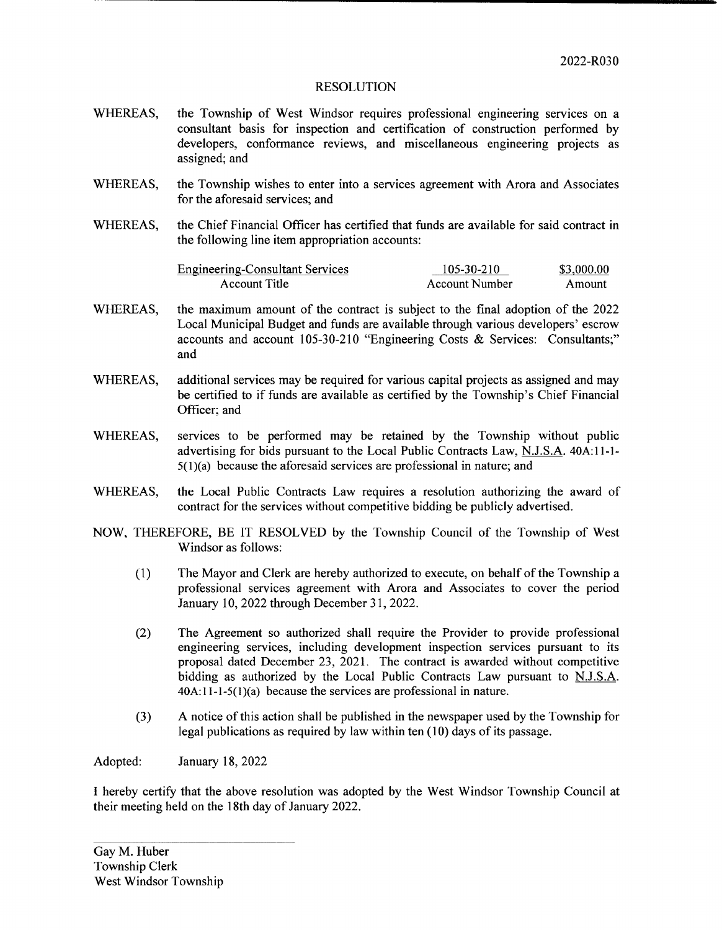- WHEREAS, the Township of West Windsor requires professional engineering services on <sup>a</sup> consultant basis for inspection and certification of construction performed by developers, conformance reviews, and miscellaneous engineering projects as assigned; and
- WHEREAS, the Township wishes to enter into a services agreement with Arora and Associates for the aforesaid services; and
- WHEREAS, the Chief Financial Officer has certified that funds are available for said contract in the following line item appropriation accounts:

| <b>Engineering-Consultant Services</b> | 105-30-210     | \$3,000.00 |
|----------------------------------------|----------------|------------|
| Account Title                          | Account Number | Amount.    |

- WHEREAS, the maximum amount of the contract is subject to the final adoption of the 2022 Local Municipal Budget and funds are available through various developers' escrow accounts and account 105-30-210 "Engineering Costs & Services: Consultants;" and
- WHEREAS, additional services may be required for various capital projects as assigned and may be certified to if funds are available as certified by the Township's Chief Financial Officer; and
- WHEREAS, services to be performed may be retained by the Township without public advertising for bids pursuant to the Local Public Contracts Law, N.J.S.A. 40A:11-1- $5(1)(a)$  because the aforesaid services are professional in nature; and
- WHEREAS, the Local Public Contracts Law requires <sup>a</sup> resolution authorizing the award of contract for the services without competitive bidding be publicly advertised.
- NOW, THEREFORE, BE IT RESOLVED by the Township Council of the Township of West Windsor as follows:
	- 1) The Mayor and Clerk are hereby authorized to execute, on behalf ofthe Township <sup>a</sup> professional services agreement with Arora and Associates to cover the period January 10, 2022 through December 31, 2022.
	- 2) The Agreement so authorized shall require the Provider to provide professional engineering services, including development inspection services pursuant to its proposal dated December 23, 2021. The contract is awarded without competitive bidding as authorized by the Local Public Contracts Law pursuant to N.J.S.A.  $40A:11-1-5(1)(a)$  because the services are professional in nature.
	- 3) A notice of this action shall be published in the newspaper used by the Township for legal publications as required by law within ten $(10)$  days of its passage.

Adopted: January 18, 2022

I hereby certify that the above resolution was adopted by the West Windsor Township Council at their meeting held on the 18th day of January 2022.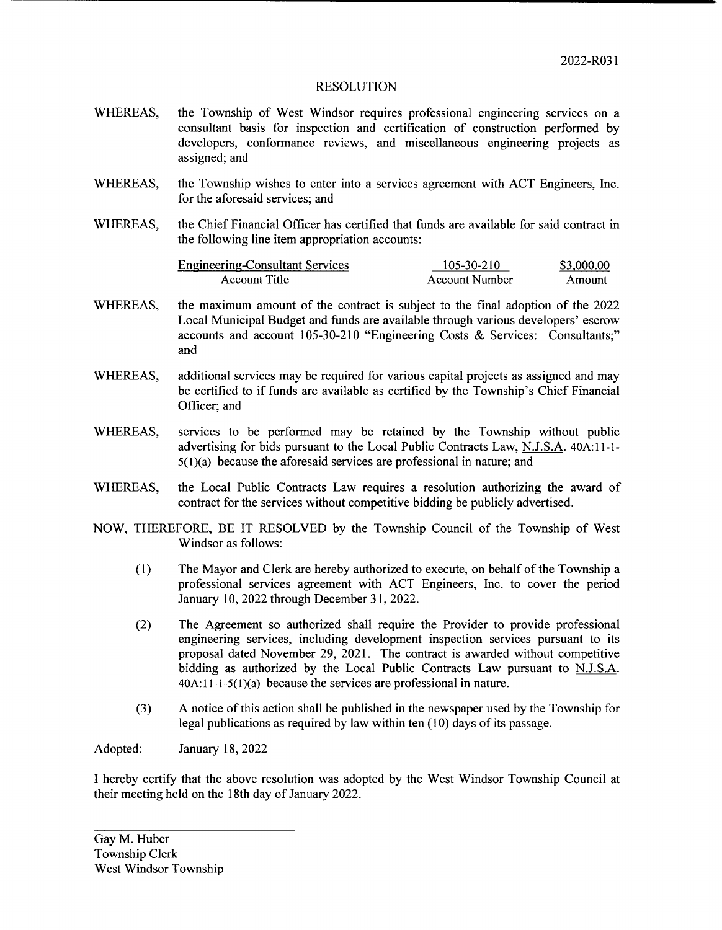- WHEREAS, the Township of West Windsor requires professional engineering services on <sup>a</sup> consultant basis for inspection and certification of construction performed by developers, conformance reviews, and miscellaneous engineering projects as assigned; and
- WHEREAS, the Township wishes to enter into <sup>a</sup> services agreement with ACT Engineers, Inc. for the aforesaid services; and
- WHEREAS, the Chief Financial Officer has certified that funds are available for said contract in the following line item appropriation accounts:

| <b>Engineering-Consultant Services</b> | 105-30-210     | \$3,000.00 |
|----------------------------------------|----------------|------------|
| Account Title                          | Account Number | Amount     |

- WHEREAS, the maximum amount of the contract is subject to the final adoption of the 2022 Local Municipal Budget and funds are available through various developers' escrow accounts and account 105-30-210 "Engineering Costs & Services: Consultants;" and
- WHEREAS, additional services may be required for various capital projects as assigned and may be certified to if funds are available as certified by the Township's Chief Financial Officer; and
- WHEREAS, services to be performed may be retained by the Township without public advertising for bids pursuant to the Local Public Contracts Law, N.J.S.A. 40A:11-1- $5(1)(a)$  because the aforesaid services are professional in nature; and
- WHEREAS, the Local Public Contracts Law requires <sup>a</sup> resolution authorizing the award of contract for the services without competitive bidding be publicly advertised.
- NOW, THEREFORE, BE IT RESOLVED by the Township Council of the Township of West Windsor as follows:
	- 1) The Mayor and Clerk are hereby authorized to execute, on behalf ofthe Township <sup>a</sup> professional services agreement with ACT Engineers, Inc. to cover the period January 10, 2022 through December 31, 2022.
	- 2) The Agreement so authorized shall require the Provider to provide professional engineering services, including development inspection services pursuant to its proposal dated November 29, 2021. The contract is awarded without competitive bidding as authorized by the Local Public Contracts Law pursuant to N.J.S.A.  $40A:11-1-5(1)(a)$  because the services are professional in nature.
	- 3) A notice ofthis action shall be published in the newspaper used by the Township for legal publications as required by law within ten( 10) days of its passage.

Adopted: January 18, 2022

I hereby certify that the above resolution was adopted by the West Windsor Township Council at their meeting held on the 18th day of January 2022.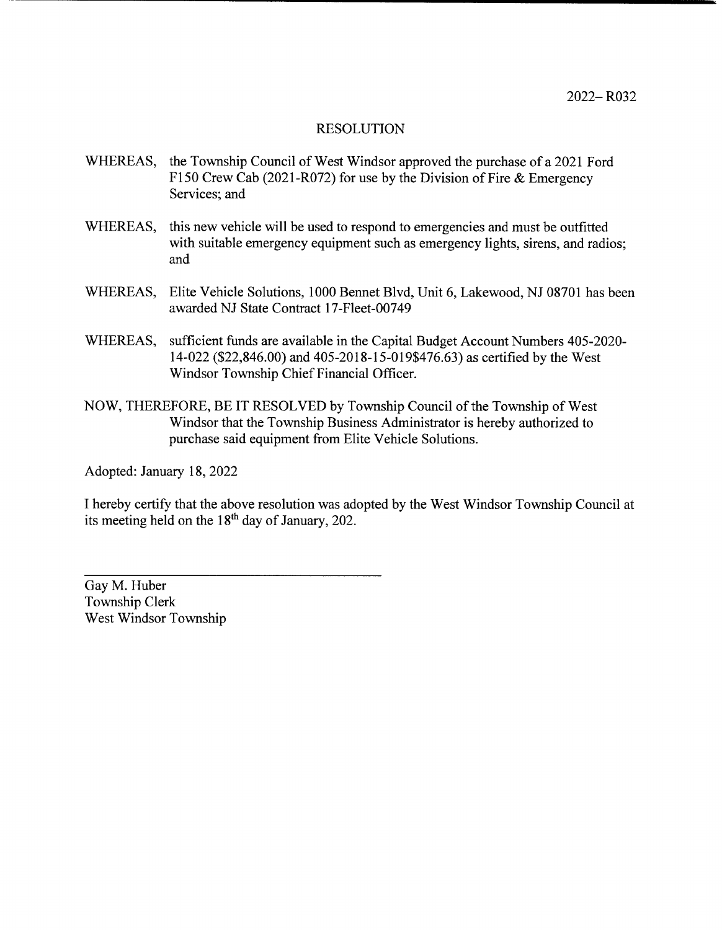- WHEREAS, the Township Council of West Windsor approved the purchase of <sup>a</sup> <sup>2021</sup> Ford F150 Crew Cab (2021-R072) for use by the Division of Fire  $&$  Emergency Services; and
- WHEREAS, this new vehicle will be used to respond to emergencies and must be outfitted with suitable emergency equipment such as emergency lights, sirens, and radios; and
- WHEREAS, Elite Vehicle Solutions, 1000 Bennet Blvd, Unit 6, Lakewood, NJ 08701 has been awarded NJ State Contract 17-Fleet-00749
- WHEREAS, sufficient funds are available in the Capital Budget Account Numbers 405-2020-14-022 (\$22,846.00) and 405-2018-15-019\$476.63) as certified by the West Windsor Township Chief Financial Officer.
- NOW, THEREFORE, BE IT RESOLVED by Township Council of the Township of West Windsor that the Township Business Administrator is hereby authorized to purchase said equipment from Elite Vehicle Solutions.

Adopted: January 18, 2022

I hereby certify that the above resolution was adopted by the West Windsor Township Council at its meeting held on the 18th day of January, 202.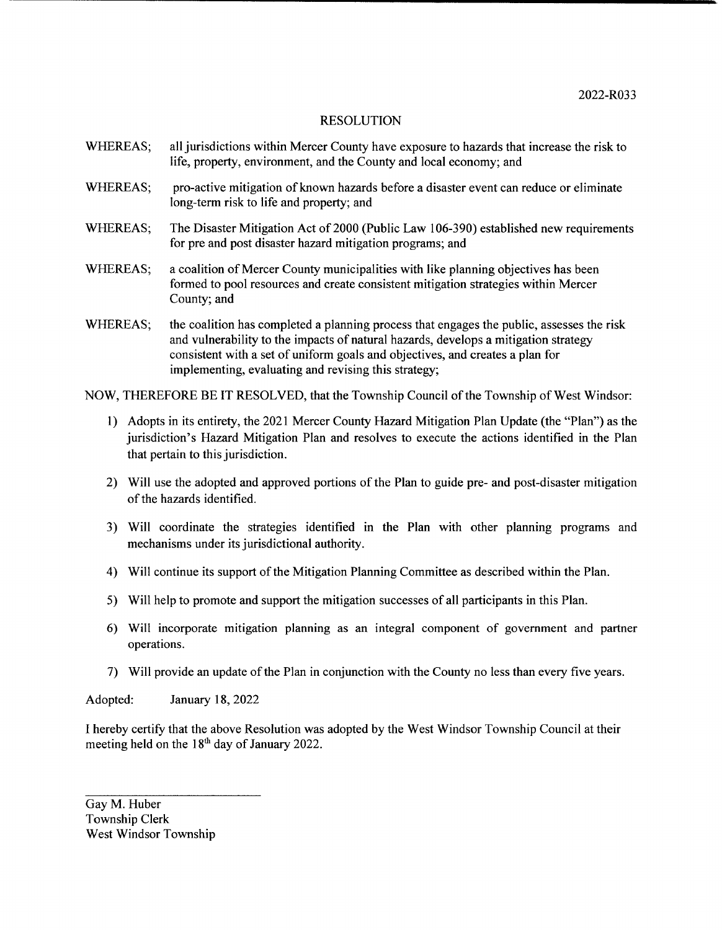- WHEREAS; all jurisdictions within Mercer County have exposure to hazards that increase the risk to life, property, environment, and the County and local economy; and
- WHEREAS; pro-active mitigation of known hazards before a disaster event can reduce or eliminate long-term risk to life and property; and
- WHEREAS; The Disaster Mitigation Act of 2000 (Public Law 106-390) established new requirements for pre and post disaster hazard mitigation programs; and
- WHEREAS; a coalition of Mercer County municipalities with like planning objectives has been formed to pool resources and create consistent mitigation strategies within Mercer County; and
- WHEREAS; the coalition has completed a planning process that engages the public, assesses the risk and vulnerability to the impacts of natural hazards, develops <sup>a</sup> mitigation strategy consistent with <sup>a</sup> set of uniform goals and objectives, and creates <sup>a</sup> plan for implementing, evaluating and revising this strategy;

NOW, THEREFORE BE IT RESOLVED, that the Township Council of the Township of West Windsor:

- 1) Adopts in its entirety, the <sup>2021</sup> Mercer County Hazard Mitigation Plan Update( the" Plan") as the jurisdiction's Hazard Mitigation Plan and resolves to execute the actions identified in the Plan that pertain to this jurisdiction.
- 2) Will use the adopted and approved portions of the Plan to guide pre- and post- disaster mitigation of the hazards identified.
- 3) Will coordinate the strategies identified in the Plan with other planning programs and mechanisms under its jurisdictional authority.
- 4) Will continue its support ofthe Mitigation Planning Committee as described within the Plan.
- 5) Will help to promote and support the mitigation successes of all participants in this Plan.
- 6) Will incorporate mitigation planning as an integral component of government and partner operations.
- 7) Will provide an update of the Plan in conjunction with the County no less than every five years.

Adopted: January 18, 2022

I hereby certify that the above Resolution was adopted by the West Windsor Township Council at their meeting held on the 18<sup>th</sup> day of January 2022.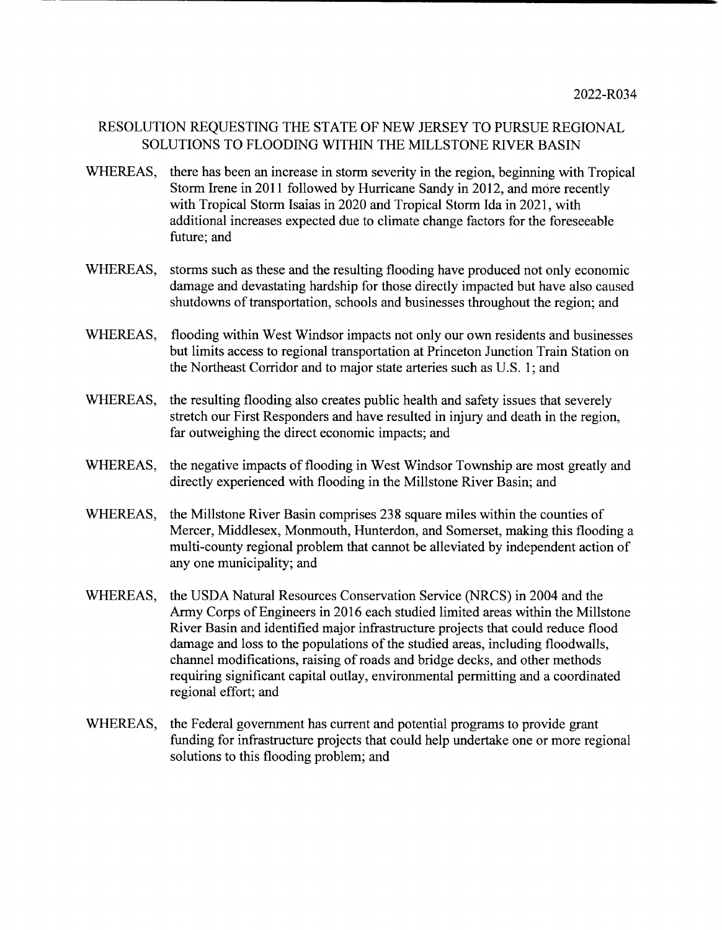# RESOLUTION REQUESTING THE STATE OF NEW JERSEY TO PURSUE REGIONAL SOLUTIONS TO FLOODING WITHIN THE MILLSTONE RIVER BASIN

- WHEREAS, there has been an increase in storm severity in the region, beginning with Tropical Storm Irene in 2011 followed by Hurricane Sandy in 2012, and more recently with Tropical Storm Isaias in 2020 and Tropical Storm Ida in 2021, with additional increases expected due to climate change factors for the foreseeable future; and
- WHEREAS, storms such as these and the resulting flooding have produced not only economic damage and devastating hardship for those directly impacted but have also caused shutdowns of transportation, schools and businesses throughout the region; and
- WHEREAS, flooding within West Windsor impacts not only our own residents and businesses but limits access to regional transportation at Princeton Junction Train Station on the Northeast Corridor and to major state arteries such as U.S. 1; and
- WHEREAS, the resulting flooding also creates public health and safety issues that severely stretch our First Responders and have resulted in injury and death in the region, far outweighing the direct economic impacts; and
- WHEREAS, the negative impacts of flooding in West Windsor Township are most greatly and directly experienced with flooding in the Millstone River Basin; and
- WHEREAS, the Millstone River Basin comprises 238 square miles within the counties of Mercer, Middlesex, Monmouth, Hunterdon, and Somerset, making this flooding a multi-county regional problem that cannot be alleviated by independent action of any one municipality; and
- WHEREAS, the USDA Natural Resources Conservation Service (NRCS) in 2004 and the Army Corps of Engineers in 2016 each studied limited areas within the Millstone River Basin and identified major infrastructure projects that could reduce flood damage and loss to the populations of the studied areas, including floodwalls, channel modifications, raising of roads and bridge decks, and other methods requiring significant capital outlay, environmental permitting and a coordinated regional effort; and
- WHEREAS, the Federal government has current and potential programs to provide grant funding for infrastructure projects that could help undertake one or more regional solutions to this flooding problem; and